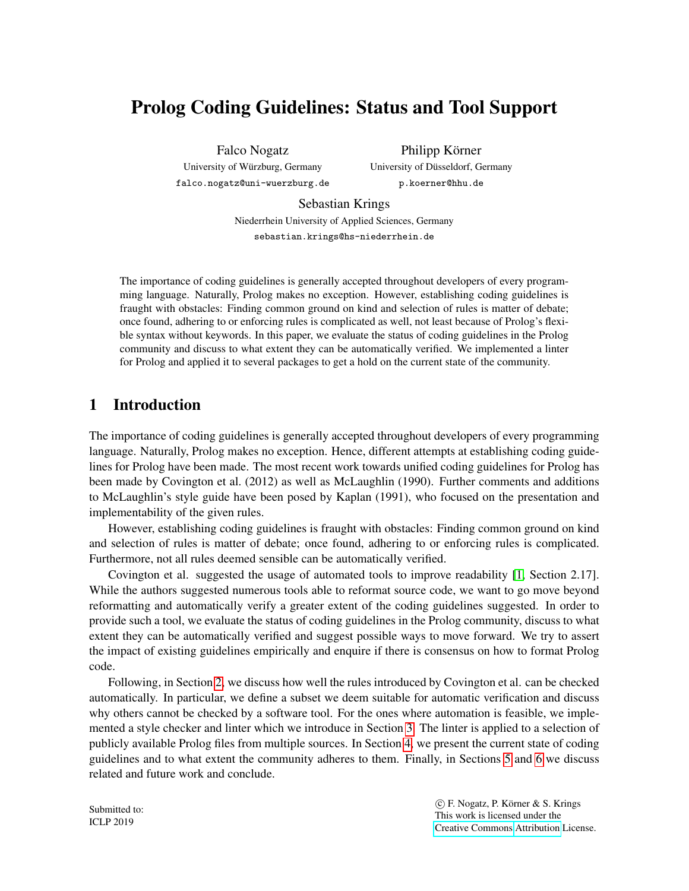# Prolog Coding Guidelines: Status and Tool Support

Falco Nogatz University of Wurzburg, Germany ¨ falco.nogatz@uni-wuerzburg.de

Philipp Körner University of Düsseldorf, Germany p.koerner@hhu.de

Sebastian Krings

Niederrhein University of Applied Sciences, Germany sebastian.krings@hs-niederrhein.de

The importance of coding guidelines is generally accepted throughout developers of every programming language. Naturally, Prolog makes no exception. However, establishing coding guidelines is fraught with obstacles: Finding common ground on kind and selection of rules is matter of debate; once found, adhering to or enforcing rules is complicated as well, not least because of Prolog's flexible syntax without keywords. In this paper, we evaluate the status of coding guidelines in the Prolog community and discuss to what extent they can be automatically verified. We implemented a linter for Prolog and applied it to several packages to get a hold on the current state of the community.

# 1 Introduction

The importance of coding guidelines is generally accepted throughout developers of every programming language. Naturally, Prolog makes no exception. Hence, different attempts at establishing coding guidelines for Prolog have been made. The most recent work towards unified coding guidelines for Prolog has been made by Covington et al. (2012) as well as McLaughlin (1990). Further comments and additions to McLaughlin's style guide have been posed by Kaplan (1991), who focused on the presentation and implementability of the given rules.

However, establishing coding guidelines is fraught with obstacles: Finding common ground on kind and selection of rules is matter of debate; once found, adhering to or enforcing rules is complicated. Furthermore, not all rules deemed sensible can be automatically verified.

Covington et al. suggested the usage of automated tools to improve readability [\[1,](#page-12-0) Section 2.17]. While the authors suggested numerous tools able to reformat source code, we want to go move beyond reformatting and automatically verify a greater extent of the coding guidelines suggested. In order to provide such a tool, we evaluate the status of coding guidelines in the Prolog community, discuss to what extent they can be automatically verified and suggest possible ways to move forward. We try to assert the impact of existing guidelines empirically and enquire if there is consensus on how to format Prolog code.

Following, in Section [2,](#page-1-0) we discuss how well the rules introduced by Covington et al. can be checked automatically. In particular, we define a subset we deem suitable for automatic verification and discuss why others cannot be checked by a software tool. For the ones where automation is feasible, we implemented a style checker and linter which we introduce in Section [3.](#page-2-0) The linter is applied to a selection of publicly available Prolog files from multiple sources. In Section [4,](#page-7-0) we present the current state of coding guidelines and to what extent the community adheres to them. Finally, in Sections [5](#page-11-0) and [6](#page-12-1) we discuss related and future work and conclude.

Submitted to: ICLP 2019

 c F. Nogatz, P. Korner & S. Krings ¨ This work is licensed under the [Creative Commons](http://creativecommons.org) [Attribution](http://creativecommons.org/licenses/by/3.0/) License.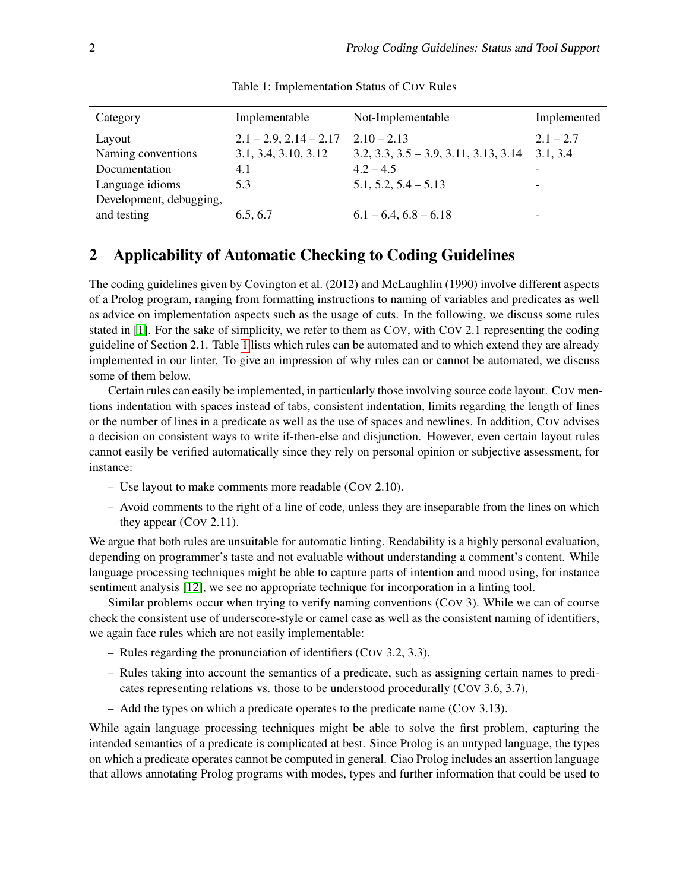<span id="page-1-1"></span>

| Category                | Implementable               | Not-Implementable                       | Implemented              |
|-------------------------|-----------------------------|-----------------------------------------|--------------------------|
| Layout                  | $2.1 - 2.9$ , $2.14 - 2.17$ | $2.10 - 2.13$                           | $2.1 - 2.7$              |
| Naming conventions      | 3.1, 3.4, 3.10, 3.12        | $3.2, 3.3, 3.5 - 3.9, 3.11, 3.13, 3.14$ | 3.1, 3.4                 |
| Documentation           | 4.1                         | $4.2 - 4.5$                             |                          |
| Language idioms         | 5.3                         | $5.1, 5.2, 5.4 - 5.13$                  |                          |
| Development, debugging, |                             |                                         |                          |
| and testing             | 6.5, 6.7                    | $6.1 - 6.4$ , $6.8 - 6.18$              | $\overline{\phantom{0}}$ |

Table 1: Implementation Status of COV Rules

# <span id="page-1-0"></span>2 Applicability of Automatic Checking to Coding Guidelines

The coding guidelines given by Covington et al. (2012) and McLaughlin (1990) involve different aspects of a Prolog program, ranging from formatting instructions to naming of variables and predicates as well as advice on implementation aspects such as the usage of cuts. In the following, we discuss some rules stated in [\[1\]](#page-12-0). For the sake of simplicity, we refer to them as COV, with COV 2.1 representing the coding guideline of Section 2.1. Table [1](#page-1-1) lists which rules can be automated and to which extend they are already implemented in our linter. To give an impression of why rules can or cannot be automated, we discuss some of them below.

Certain rules can easily be implemented, in particularly those involving source code layout. COV mentions indentation with spaces instead of tabs, consistent indentation, limits regarding the length of lines or the number of lines in a predicate as well as the use of spaces and newlines. In addition, COV advises a decision on consistent ways to write if-then-else and disjunction. However, even certain layout rules cannot easily be verified automatically since they rely on personal opinion or subjective assessment, for instance:

- Use layout to make comments more readable (COV 2.10).
- Avoid comments to the right of a line of code, unless they are inseparable from the lines on which they appear (COV 2.11).

We argue that both rules are unsuitable for automatic linting. Readability is a highly personal evaluation, depending on programmer's taste and not evaluable without understanding a comment's content. While language processing techniques might be able to capture parts of intention and mood using, for instance sentiment analysis [\[12\]](#page-13-0), we see no appropriate technique for incorporation in a linting tool.

Similar problems occur when trying to verify naming conventions (COV 3). While we can of course check the consistent use of underscore-style or camel case as well as the consistent naming of identifiers, we again face rules which are not easily implementable:

- Rules regarding the pronunciation of identifiers (COV 3.2, 3.3).
- Rules taking into account the semantics of a predicate, such as assigning certain names to predicates representing relations vs. those to be understood procedurally (COV 3.6, 3.7),
- Add the types on which a predicate operates to the predicate name (COV 3.13).

While again language processing techniques might be able to solve the first problem, capturing the intended semantics of a predicate is complicated at best. Since Prolog is an untyped language, the types on which a predicate operates cannot be computed in general. Ciao Prolog includes an assertion language that allows annotating Prolog programs with modes, types and further information that could be used to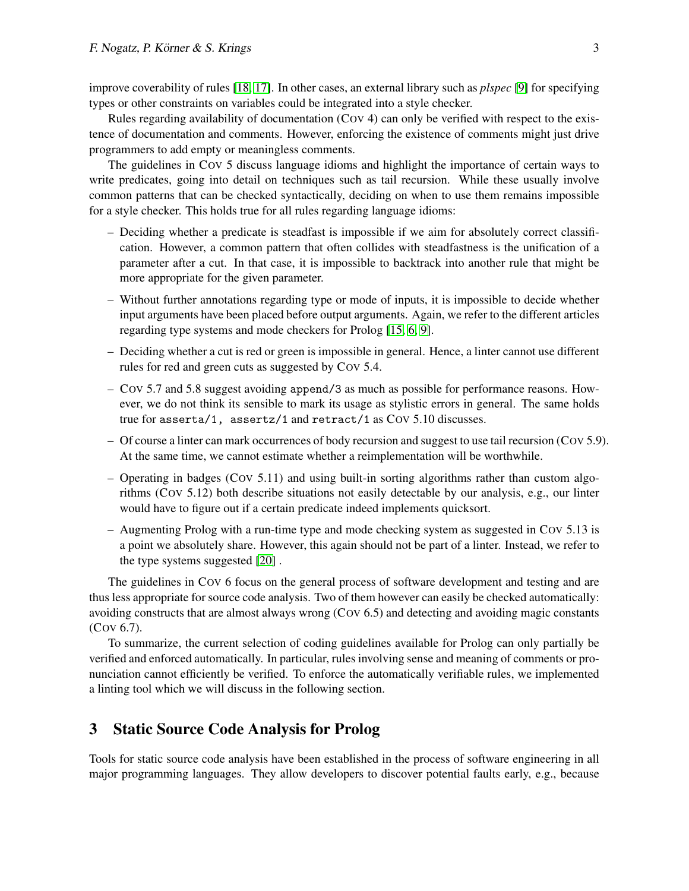improve coverability of rules [\[18,](#page-13-1) [17\]](#page-13-2). In other cases, an external library such as *plspec* [\[9\]](#page-12-2) for specifying types or other constraints on variables could be integrated into a style checker.

Rules regarding availability of documentation (COV 4) can only be verified with respect to the existence of documentation and comments. However, enforcing the existence of comments might just drive programmers to add empty or meaningless comments.

The guidelines in COV 5 discuss language idioms and highlight the importance of certain ways to write predicates, going into detail on techniques such as tail recursion. While these usually involve common patterns that can be checked syntactically, deciding on when to use them remains impossible for a style checker. This holds true for all rules regarding language idioms:

- Deciding whether a predicate is steadfast is impossible if we aim for absolutely correct classification. However, a common pattern that often collides with steadfastness is the unification of a parameter after a cut. In that case, it is impossible to backtrack into another rule that might be more appropriate for the given parameter.
- Without further annotations regarding type or mode of inputs, it is impossible to decide whether input arguments have been placed before output arguments. Again, we refer to the different articles regarding type systems and mode checkers for Prolog [\[15,](#page-13-3) [6,](#page-12-3) [9\]](#page-12-2).
- Deciding whether a cut is red or green is impossible in general. Hence, a linter cannot use different rules for red and green cuts as suggested by COV 5.4.
- COV 5.7 and 5.8 suggest avoiding append/3 as much as possible for performance reasons. However, we do not think its sensible to mark its usage as stylistic errors in general. The same holds true for asserta/1, assertz/1 and retract/1 as COV 5.10 discusses.
- Of course a linter can mark occurrences of body recursion and suggest to use tail recursion (COV 5.9). At the same time, we cannot estimate whether a reimplementation will be worthwhile.
- Operating in badges (COV 5.11) and using built-in sorting algorithms rather than custom algorithms (COV 5.12) both describe situations not easily detectable by our analysis, e.g., our linter would have to figure out if a certain predicate indeed implements quicksort.
- Augmenting Prolog with a run-time type and mode checking system as suggested in COV 5.13 is a point we absolutely share. However, this again should not be part of a linter. Instead, we refer to the type systems suggested [\[20\]](#page-13-4) .

The guidelines in COV 6 focus on the general process of software development and testing and are thus less appropriate for source code analysis. Two of them however can easily be checked automatically: avoiding constructs that are almost always wrong (COV 6.5) and detecting and avoiding magic constants (COV 6.7).

To summarize, the current selection of coding guidelines available for Prolog can only partially be verified and enforced automatically. In particular, rules involving sense and meaning of comments or pronunciation cannot efficiently be verified. To enforce the automatically verifiable rules, we implemented a linting tool which we will discuss in the following section.

### <span id="page-2-0"></span>3 Static Source Code Analysis for Prolog

Tools for static source code analysis have been established in the process of software engineering in all major programming languages. They allow developers to discover potential faults early, e.g., because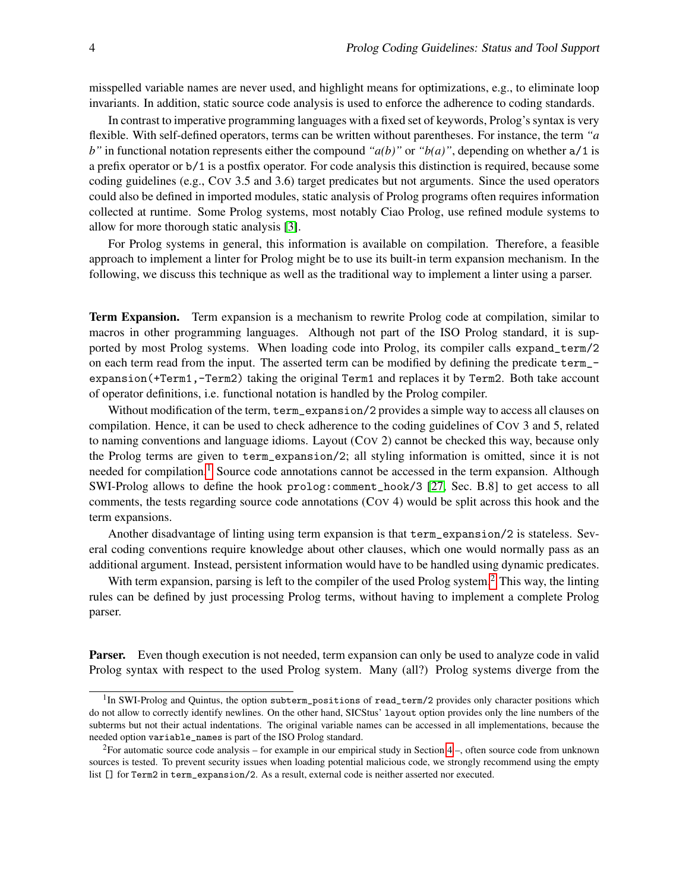misspelled variable names are never used, and highlight means for optimizations, e.g., to eliminate loop invariants. In addition, static source code analysis is used to enforce the adherence to coding standards.

In contrast to imperative programming languages with a fixed set of keywords, Prolog's syntax is very flexible. With self-defined operators, terms can be written without parentheses. For instance, the term *"a b*" in functional notation represents either the compound " $a(b)$ " or " $b(a)$ ", depending on whether  $a/1$  is a prefix operator or b/1 is a postfix operator. For code analysis this distinction is required, because some coding guidelines (e.g., COV 3.5 and 3.6) target predicates but not arguments. Since the used operators could also be defined in imported modules, static analysis of Prolog programs often requires information collected at runtime. Some Prolog systems, most notably Ciao Prolog, use refined module systems to allow for more thorough static analysis [\[3\]](#page-12-4).

For Prolog systems in general, this information is available on compilation. Therefore, a feasible approach to implement a linter for Prolog might be to use its built-in term expansion mechanism. In the following, we discuss this technique as well as the traditional way to implement a linter using a parser.

Term Expansion. Term expansion is a mechanism to rewrite Prolog code at compilation, similar to macros in other programming languages. Although not part of the ISO Prolog standard, it is supported by most Prolog systems. When loading code into Prolog, its compiler calls expand\_term/2 on each term read from the input. The asserted term can be modified by defining the predicate term\_ expansion(+Term1,-Term2) taking the original Term1 and replaces it by Term2. Both take account of operator definitions, i.e. functional notation is handled by the Prolog compiler.

Without modification of the term, term\_expansion/2 provides a simple way to access all clauses on compilation. Hence, it can be used to check adherence to the coding guidelines of COV 3 and 5, related to naming conventions and language idioms. Layout (COV 2) cannot be checked this way, because only the Prolog terms are given to term\_expansion/2; all styling information is omitted, since it is not needed for compilation.<sup>[1](#page-3-0)</sup> Source code annotations cannot be accessed in the term expansion. Although SWI-Prolog allows to define the hook prolog:comment\_hook/3 [\[27,](#page-13-5) Sec. B.8] to get access to all comments, the tests regarding source code annotations (COV 4) would be split across this hook and the term expansions.

Another disadvantage of linting using term expansion is that term\_expansion/2 is stateless. Several coding conventions require knowledge about other clauses, which one would normally pass as an additional argument. Instead, persistent information would have to be handled using dynamic predicates.

With term expansion, parsing is left to the compiler of the used Prolog system.<sup>[2](#page-3-1)</sup> This way, the linting rules can be defined by just processing Prolog terms, without having to implement a complete Prolog parser.

**Parser.** Even though execution is not needed, term expansion can only be used to analyze code in valid Prolog syntax with respect to the used Prolog system. Many (all?) Prolog systems diverge from the

<span id="page-3-0"></span><sup>&</sup>lt;sup>1</sup>In SWI-Prolog and Quintus, the option subterm\_positions of read\_term/2 provides only character positions which do not allow to correctly identify newlines. On the other hand, SICStus' layout option provides only the line numbers of the subterms but not their actual indentations. The original variable names can be accessed in all implementations, because the needed option variable\_names is part of the ISO Prolog standard.

<span id="page-3-1"></span><sup>&</sup>lt;sup>2</sup>For automatic source code analysis – for example in our empirical study in Section  $4$  –, often source code from unknown sources is tested. To prevent security issues when loading potential malicious code, we strongly recommend using the empty list [] for Term2 in term\_expansion/2. As a result, external code is neither asserted nor executed.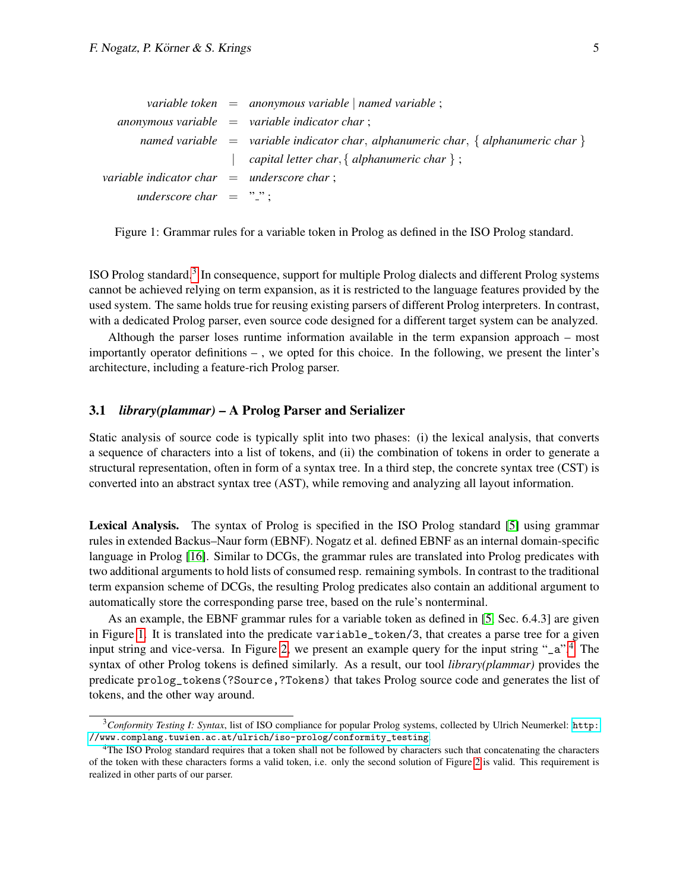<span id="page-4-1"></span>

|                                              | variable token $=$ anonymous variable   named variable ;                             |
|----------------------------------------------|--------------------------------------------------------------------------------------|
|                                              | anonymous variable $=$ variable indicator char;                                      |
|                                              | named variable $=$ variable indicator char, alphanumeric char, { alphanumeric char } |
|                                              | capital letter char, { alphanumeric char } ;                                         |
| variable indicator char $=$ underscore char; |                                                                                      |
| underscore char $=$ ".";                     |                                                                                      |

Figure 1: Grammar rules for a variable token in Prolog as defined in the ISO Prolog standard.

ISO Prolog standard.<sup>[3](#page-4-0)</sup> In consequence, support for multiple Prolog dialects and different Prolog systems cannot be achieved relying on term expansion, as it is restricted to the language features provided by the used system. The same holds true for reusing existing parsers of different Prolog interpreters. In contrast, with a dedicated Prolog parser, even source code designed for a different target system can be analyzed.

Although the parser loses runtime information available in the term expansion approach – most importantly operator definitions – , we opted for this choice. In the following, we present the linter's architecture, including a feature-rich Prolog parser.

#### 3.1 *library(plammar)* – A Prolog Parser and Serializer

Static analysis of source code is typically split into two phases: (i) the lexical analysis, that converts a sequence of characters into a list of tokens, and (ii) the combination of tokens in order to generate a structural representation, often in form of a syntax tree. In a third step, the concrete syntax tree (CST) is converted into an abstract syntax tree (AST), while removing and analyzing all layout information.

Lexical Analysis. The syntax of Prolog is specified in the ISO Prolog standard [\[5\]](#page-12-5) using grammar rules in extended Backus–Naur form (EBNF). Nogatz et al. defined EBNF as an internal domain-specific language in Prolog [\[16\]](#page-13-6). Similar to DCGs, the grammar rules are translated into Prolog predicates with two additional arguments to hold lists of consumed resp. remaining symbols. In contrast to the traditional term expansion scheme of DCGs, the resulting Prolog predicates also contain an additional argument to automatically store the corresponding parse tree, based on the rule's nonterminal.

As an example, the EBNF grammar rules for a variable token as defined in [\[5,](#page-12-5) Sec. 6.4.3] are given in Figure [1.](#page-4-1) It is translated into the predicate variable\_token/3, that creates a parse tree for a given input string and vice-versa. In Figure [2,](#page-5-0) we present an example query for the input string "\_a".[4](#page-4-2) The syntax of other Prolog tokens is defined similarly. As a result, our tool *library(plammar)* provides the predicate prolog\_tokens(?Source,?Tokens) that takes Prolog source code and generates the list of tokens, and the other way around.

<span id="page-4-0"></span><sup>3</sup>*Conformity Testing I: Syntax*, list of ISO compliance for popular Prolog systems, collected by Ulrich Neumerkel: [http:](http://www.complang.tuwien.ac.at/ulrich/iso-prolog/conformity_testing) [//www.complang.tuwien.ac.at/ulrich/iso-prolog/conformity\\_testing](http://www.complang.tuwien.ac.at/ulrich/iso-prolog/conformity_testing).

<span id="page-4-2"></span><sup>&</sup>lt;sup>4</sup>The ISO Prolog standard requires that a token shall not be followed by characters such that concatenating the characters of the token with these characters forms a valid token, i.e. only the second solution of Figure [2](#page-5-0) is valid. This requirement is realized in other parts of our parser.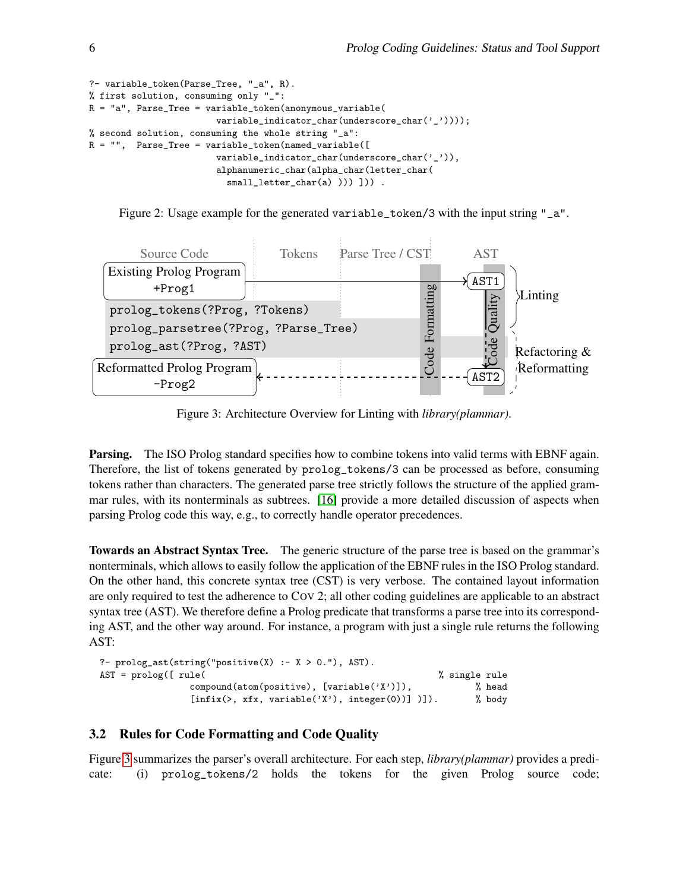```
?- variable_token(Parse_Tree, "_a", R).
% first solution, consuming only "_":
R = "a", Parse_Tree = variable_token(anonymous_variable(
                       variable_indicator_char(underscore_char('_'))));
% second solution, consuming the whole string "_a":
R = "", Parse_Tree = variable_token(named_variable([
                        variable_indicator_char(underscore_char('_')),
                        alphanumeric_char(alpha_char(letter_char(
                          small_letter_char(a) ))) ])) .
```
Figure 2: Usage example for the generated variable\_token/3 with the input string "\_a".

<span id="page-5-1"></span>

Figure 3: Architecture Overview for Linting with *library(plammar)*.

**Parsing.** The ISO Prolog standard specifies how to combine tokens into valid terms with EBNF again. Therefore, the list of tokens generated by prolog\_tokens/3 can be processed as before, consuming tokens rather than characters. The generated parse tree strictly follows the structure of the applied grammar rules, with its nonterminals as subtrees. [\[16\]](#page-13-6) provide a more detailed discussion of aspects when parsing Prolog code this way, e.g., to correctly handle operator precedences.

Towards an Abstract Syntax Tree. The generic structure of the parse tree is based on the grammar's nonterminals, which allows to easily follow the application of the EBNF rules in the ISO Prolog standard. On the other hand, this concrete syntax tree (CST) is very verbose. The contained layout information are only required to test the adherence to COV 2; all other coding guidelines are applicable to an abstract syntax tree (AST). We therefore define a Prolog predicate that transforms a parse tree into its corresponding AST, and the other way around. For instance, a program with just a single rule returns the following AST:

```
?- prodog_ast(string("positive(X) :- X > 0."), AST).AST = prolog([ rule( \% single rule
             compound(atom(positive), [variable('X')]), % head
             [infix(\gt, xfx, variable('X'), integer(0))] )]). % body
```
### <span id="page-5-2"></span>3.2 Rules for Code Formatting and Code Quality

Figure [3](#page-5-1) summarizes the parser's overall architecture. For each step, *library(plammar)* provides a predicate: (i) prolog\_tokens/2 holds the tokens for the given Prolog source code;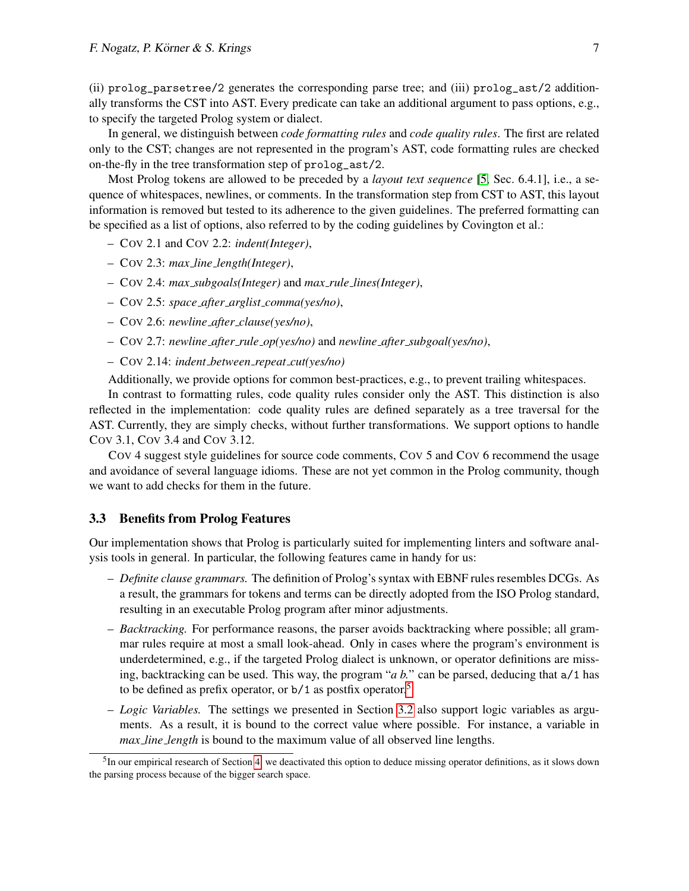(ii) prolog\_parsetree/2 generates the corresponding parse tree; and (iii) prolog\_ast/2 additionally transforms the CST into AST. Every predicate can take an additional argument to pass options, e.g., to specify the targeted Prolog system or dialect.

In general, we distinguish between *code formatting rules* and *code quality rules*. The first are related only to the CST; changes are not represented in the program's AST, code formatting rules are checked on-the-fly in the tree transformation step of prolog\_ast/2.

Most Prolog tokens are allowed to be preceded by a *layout text sequence* [\[5,](#page-12-5) Sec. 6.4.1], i.e., a sequence of whitespaces, newlines, or comments. In the transformation step from CST to AST, this layout information is removed but tested to its adherence to the given guidelines. The preferred formatting can be specified as a list of options, also referred to by the coding guidelines by Covington et al.:

- COV 2.1 and COV 2.2: *indent(Integer)*,
- COV 2.3: *max line length(Integer)*,
- COV 2.4: *max subgoals(Integer)* and *max rule lines(Integer)*,
- COV 2.5: *space after arglist comma(yes/no)*,
- COV 2.6: *newline after clause(yes/no)*,
- COV 2.7: *newline after rule op(yes/no)* and *newline after subgoal(yes/no)*,
- COV 2.14: *indent between repeat cut(yes/no)*

Additionally, we provide options for common best-practices, e.g., to prevent trailing whitespaces.

In contrast to formatting rules, code quality rules consider only the AST. This distinction is also reflected in the implementation: code quality rules are defined separately as a tree traversal for the AST. Currently, they are simply checks, without further transformations. We support options to handle COV 3.1, COV 3.4 and COV 3.12.

COV 4 suggest style guidelines for source code comments, COV 5 and COV 6 recommend the usage and avoidance of several language idioms. These are not yet common in the Prolog community, though we want to add checks for them in the future.

### 3.3 Benefits from Prolog Features

Our implementation shows that Prolog is particularly suited for implementing linters and software analysis tools in general. In particular, the following features came in handy for us:

- *Definite clause grammars.* The definition of Prolog's syntax with EBNF rules resembles DCGs. As a result, the grammars for tokens and terms can be directly adopted from the ISO Prolog standard, resulting in an executable Prolog program after minor adjustments.
- *Backtracking.* For performance reasons, the parser avoids backtracking where possible; all grammar rules require at most a small look-ahead. Only in cases where the program's environment is underdetermined, e.g., if the targeted Prolog dialect is unknown, or operator definitions are missing, backtracking can be used. This way, the program "*a b.*" can be parsed, deducing that a/1 has to be defined as prefix operator, or b/1 as postfix operator.[5](#page-6-0)
- *Logic Variables.* The settings we presented in Section [3.2](#page-5-2) also support logic variables as arguments. As a result, it is bound to the correct value where possible. For instance, a variable in *max line length* is bound to the maximum value of all observed line lengths.

<span id="page-6-0"></span> $<sup>5</sup>$ In our empirical research of Section [4,](#page-7-0) we deactivated this option to deduce missing operator definitions, as it slows down</sup> the parsing process because of the bigger search space.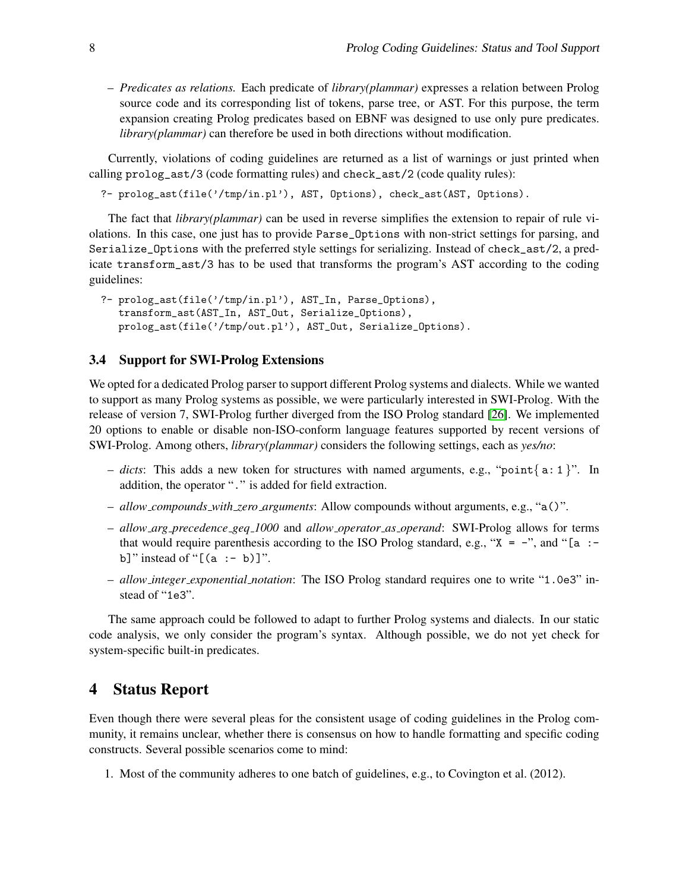– *Predicates as relations.* Each predicate of *library(plammar)* expresses a relation between Prolog source code and its corresponding list of tokens, parse tree, or AST. For this purpose, the term expansion creating Prolog predicates based on EBNF was designed to use only pure predicates. *library(plammar)* can therefore be used in both directions without modification.

Currently, violations of coding guidelines are returned as a list of warnings or just printed when calling prolog\_ast/3 (code formatting rules) and check\_ast/2 (code quality rules):

?- prolog\_ast(file('/tmp/in.pl'), AST, Options), check\_ast(AST, Options).

The fact that *library(plammar)* can be used in reverse simplifies the extension to repair of rule violations. In this case, one just has to provide Parse\_Options with non-strict settings for parsing, and Serialize\_Options with the preferred style settings for serializing. Instead of check\_ast/2, a predicate transform\_ast/3 has to be used that transforms the program's AST according to the coding guidelines:

```
?- prolog_ast(file('/tmp/in.pl'), AST_In, Parse_Options),
   transform_ast(AST_In, AST_Out, Serialize_Options),
   prolog_ast(file('/tmp/out.pl'), AST_Out, Serialize_Options).
```
#### <span id="page-7-1"></span>3.4 Support for SWI-Prolog Extensions

We opted for a dedicated Prolog parser to support different Prolog systems and dialects. While we wanted to support as many Prolog systems as possible, we were particularly interested in SWI-Prolog. With the release of version 7, SWI-Prolog further diverged from the ISO Prolog standard [\[26\]](#page-13-7). We implemented 20 options to enable or disable non-ISO-conform language features supported by recent versions of SWI-Prolog. Among others, *library(plammar)* considers the following settings, each as *yes/no*:

- *dicts*: This adds a new token for structures with named arguments, e.g., "point { a: 1 }". In addition, the operator "." is added for field extraction.
- *allow compounds with zero arguments*: Allow compounds without arguments, e.g., "a()".
- *allow arg precedence geq 1000* and *allow operator as operand*: SWI-Prolog allows for terms that would require parenthesis according to the ISO Prolog standard, e.g., " $X = -$ ", and "[a :b]" instead of " $[(a : - b)]$ ".
- *allow integer exponential notation*: The ISO Prolog standard requires one to write "1.0e3" instead of "1e3".

The same approach could be followed to adapt to further Prolog systems and dialects. In our static code analysis, we only consider the program's syntax. Although possible, we do not yet check for system-specific built-in predicates.

### <span id="page-7-0"></span>4 Status Report

Even though there were several pleas for the consistent usage of coding guidelines in the Prolog community, it remains unclear, whether there is consensus on how to handle formatting and specific coding constructs. Several possible scenarios come to mind:

1. Most of the community adheres to one batch of guidelines, e.g., to Covington et al. (2012).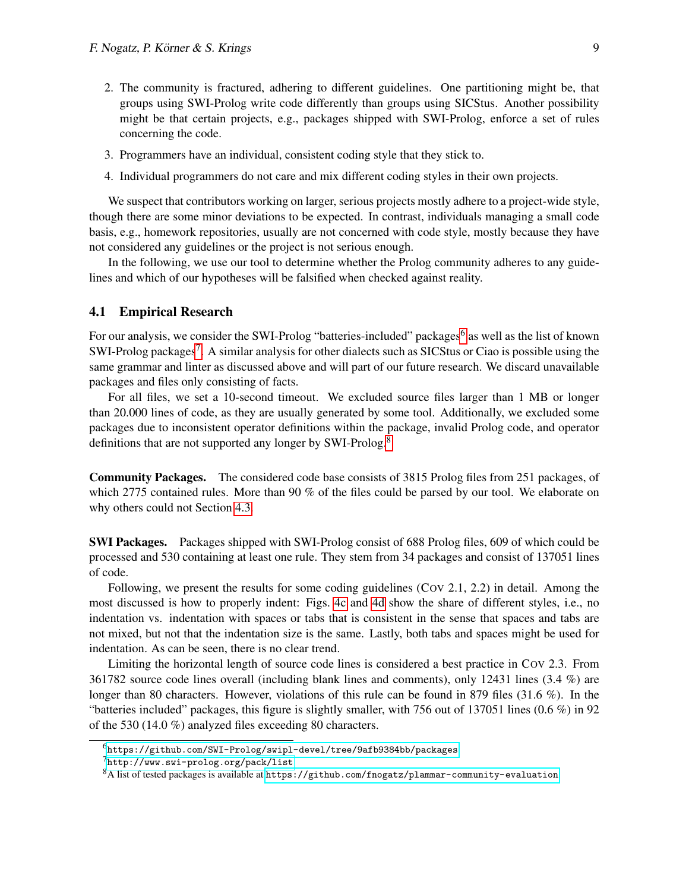- 2. The community is fractured, adhering to different guidelines. One partitioning might be, that groups using SWI-Prolog write code differently than groups using SICStus. Another possibility might be that certain projects, e.g., packages shipped with SWI-Prolog, enforce a set of rules concerning the code.
- 3. Programmers have an individual, consistent coding style that they stick to.
- 4. Individual programmers do not care and mix different coding styles in their own projects.

We suspect that contributors working on larger, serious projects mostly adhere to a project-wide style, though there are some minor deviations to be expected. In contrast, individuals managing a small code basis, e.g., homework repositories, usually are not concerned with code style, mostly because they have not considered any guidelines or the project is not serious enough.

In the following, we use our tool to determine whether the Prolog community adheres to any guidelines and which of our hypotheses will be falsified when checked against reality.

#### 4.1 Empirical Research

For our analysis, we consider the SWI-Prolog "batteries-included" packages<sup>[6](#page-8-0)</sup> as well as the list of known SWI-Prolog packages<sup>[7](#page-8-1)</sup>. A similar analysis for other dialects such as SICStus or Ciao is possible using the same grammar and linter as discussed above and will part of our future research. We discard unavailable packages and files only consisting of facts.

For all files, we set a 10-second timeout. We excluded source files larger than 1 MB or longer than 20.000 lines of code, as they are usually generated by some tool. Additionally, we excluded some packages due to inconsistent operator definitions within the package, invalid Prolog code, and operator definitions that are not supported any longer by SWI-Prolog.<sup>[8](#page-8-2)</sup>

Community Packages. The considered code base consists of 3815 Prolog files from 251 packages, of which 2775 contained rules. More than 90 % of the files could be parsed by our tool. We elaborate on why others could not Section [4.3.](#page-10-0)

SWI Packages. Packages shipped with SWI-Prolog consist of 688 Prolog files, 609 of which could be processed and 530 containing at least one rule. They stem from 34 packages and consist of 137051 lines of code.

Following, we present the results for some coding guidelines (COV 2.1, 2.2) in detail. Among the most discussed is how to properly indent: Figs. [4c](#page-9-0) and [4d](#page-9-0) show the share of different styles, i.e., no indentation vs. indentation with spaces or tabs that is consistent in the sense that spaces and tabs are not mixed, but not that the indentation size is the same. Lastly, both tabs and spaces might be used for indentation. As can be seen, there is no clear trend.

Limiting the horizontal length of source code lines is considered a best practice in COV 2.3. From 361782 source code lines overall (including blank lines and comments), only 12431 lines (3.4 %) are longer than 80 characters. However, violations of this rule can be found in 879 files (31.6 %). In the "batteries included" packages, this figure is slightly smaller, with 756 out of 137051 lines (0.6 %) in 92 of the 530 (14.0 %) analyzed files exceeding 80 characters.

<span id="page-8-0"></span> $^{6}$ <https://github.com/SWI-Prolog/swipl-devel/tree/9afb9384bb/packages>

<span id="page-8-1"></span><sup>7</sup><http://www.swi-prolog.org/pack/list>

<span id="page-8-2"></span> $8A$  list of tested packages is available at <https://github.com/fnogatz/plammar-community-evaluation>.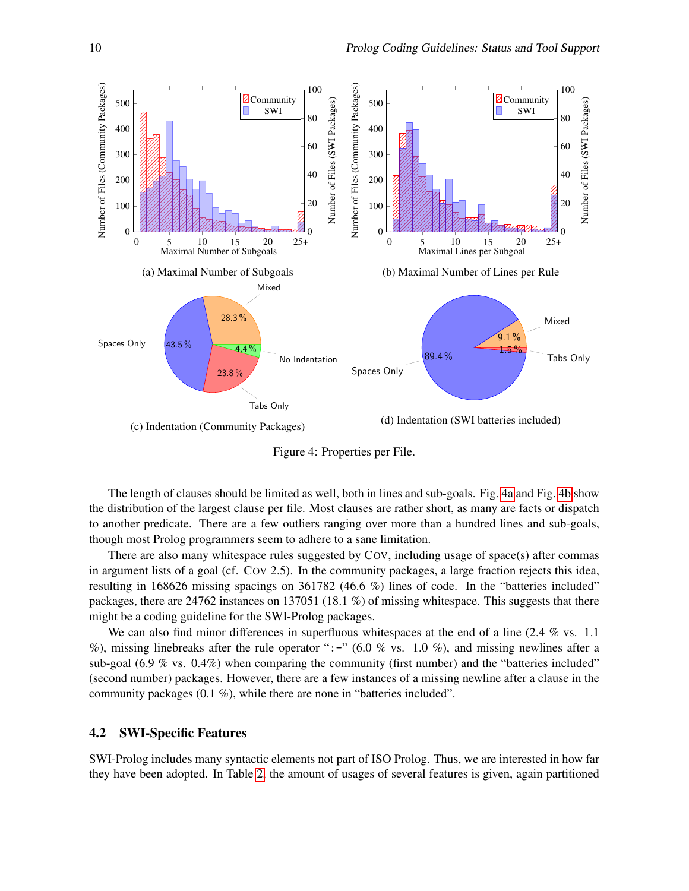<span id="page-9-0"></span>

Figure 4: Properties per File.

The length of clauses should be limited as well, both in lines and sub-goals. Fig. [4a](#page-9-0) and Fig. [4b](#page-9-0) show the distribution of the largest clause per file. Most clauses are rather short, as many are facts or dispatch to another predicate. There are a few outliers ranging over more than a hundred lines and sub-goals, though most Prolog programmers seem to adhere to a sane limitation.

There are also many whitespace rules suggested by COV, including usage of space(s) after commas in argument lists of a goal (cf. COV 2.5). In the community packages, a large fraction rejects this idea, resulting in 168626 missing spacings on 361782 (46.6 %) lines of code. In the "batteries included" packages, there are 24762 instances on 137051 (18.1 %) of missing whitespace. This suggests that there might be a coding guideline for the SWI-Prolog packages.

We can also find minor differences in superfluous whitespaces at the end of a line  $(2.4\% \text{ vs. } 1.1)$ %), missing linebreaks after the rule operator ":-" (6.0 % vs. 1.0 %), and missing newlines after a sub-goal  $(6.9\% \text{ vs. } 0.4\%)$  when comparing the community (first number) and the "batteries included" (second number) packages. However, there are a few instances of a missing newline after a clause in the community packages (0.1 %), while there are none in "batteries included".

#### 4.2 SWI-Specific Features

SWI-Prolog includes many syntactic elements not part of ISO Prolog. Thus, we are interested in how far they have been adopted. In Table [2,](#page-10-1) the amount of usages of several features is given, again partitioned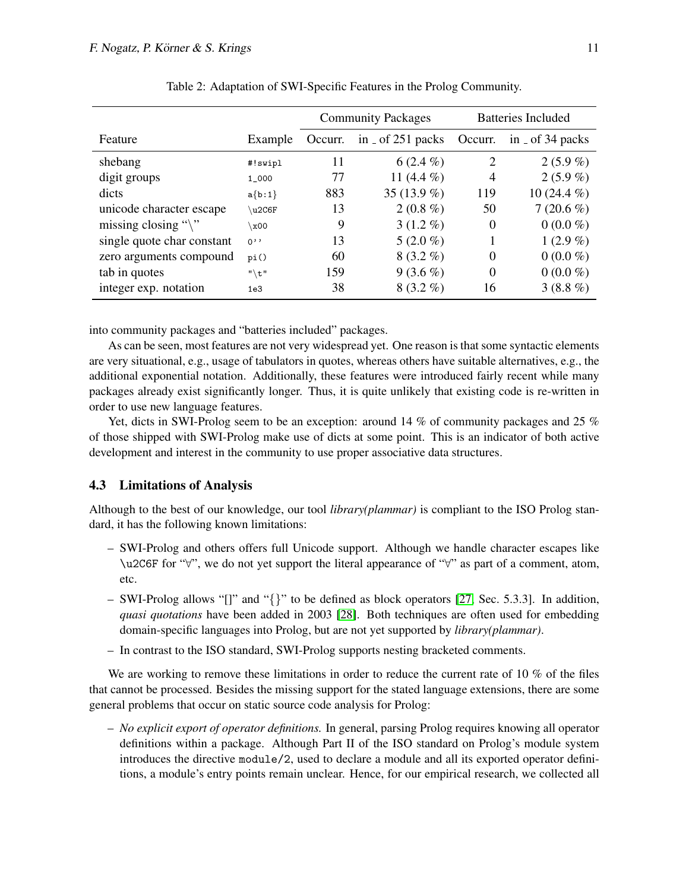<span id="page-10-1"></span>

|                               |           | <b>Community Packages</b> |                                          | <b>Batteries Included</b> |                                         |
|-------------------------------|-----------|---------------------------|------------------------------------------|---------------------------|-----------------------------------------|
| Feature                       | Example   | Occurr.                   | in $\overline{\phantom{0}}$ of 251 packs | Occurr.                   | in $\overline{\phantom{0}}$ of 34 packs |
| shebang                       | #!swipl   | 11                        | $6(2.4\%)$                               | 2                         | $2(5.9\%)$                              |
| digit groups                  | $1 - 000$ | 77                        | 11 $(4.4\%)$                             | 4                         | $2(5.9\%)$                              |
| dicts                         | $a{b:1}$  | 883                       | 35 $(13.9\%)$                            | 119                       | 10 $(24.4\%)$                           |
| unicode character escape      | u2C6F     | 13                        | $2(0.8\%)$                               | 50                        | $7(20.6\%)$                             |
| missing closing " $\langle$ " | 00x/      | 9                         | $3(1.2\%)$                               | $\Omega$                  | $0(0.0\%)$                              |
| single quote char constant    | 0,        | 13                        | $5(2.0\%)$                               |                           | $1(2.9\%)$                              |
| zero arguments compound       | pi()      | 60                        | $8(3.2\%)$                               | $\Omega$                  | $0(0.0\%)$                              |
| tab in quotes                 | $"$ $t"$  | 159                       | $9(3.6\%)$                               | $\Omega$                  | $0(0.0\%)$                              |
| integer exp. notation         | 1e3       | 38                        | $8(3.2\%)$                               | 16                        | $3(8.8\%)$                              |

Table 2: Adaptation of SWI-Specific Features in the Prolog Community.

into community packages and "batteries included" packages.

As can be seen, most features are not very widespread yet. One reason is that some syntactic elements are very situational, e.g., usage of tabulators in quotes, whereas others have suitable alternatives, e.g., the additional exponential notation. Additionally, these features were introduced fairly recent while many packages already exist significantly longer. Thus, it is quite unlikely that existing code is re-written in order to use new language features.

Yet, dicts in SWI-Prolog seem to be an exception: around 14 % of community packages and 25 % of those shipped with SWI-Prolog make use of dicts at some point. This is an indicator of both active development and interest in the community to use proper associative data structures.

### <span id="page-10-0"></span>4.3 Limitations of Analysis

Although to the best of our knowledge, our tool *library(plammar)* is compliant to the ISO Prolog standard, it has the following known limitations:

- SWI-Prolog and others offers full Unicode support. Although we handle character escapes like \u2C6F for "∀", we do not yet support the literal appearance of "∀" as part of a comment, atom, etc.
- SWI-Prolog allows "[]" and "{}" to be defined as block operators [\[27,](#page-13-5) Sec. 5.3.3]. In addition, *quasi quotations* have been added in 2003 [\[28\]](#page-13-8). Both techniques are often used for embedding domain-specific languages into Prolog, but are not yet supported by *library(plammar)*.
- In contrast to the ISO standard, SWI-Prolog supports nesting bracketed comments.

We are working to remove these limitations in order to reduce the current rate of 10 % of the files that cannot be processed. Besides the missing support for the stated language extensions, there are some general problems that occur on static source code analysis for Prolog:

– *No explicit export of operator definitions.* In general, parsing Prolog requires knowing all operator definitions within a package. Although Part II of the ISO standard on Prolog's module system introduces the directive module/2, used to declare a module and all its exported operator definitions, a module's entry points remain unclear. Hence, for our empirical research, we collected all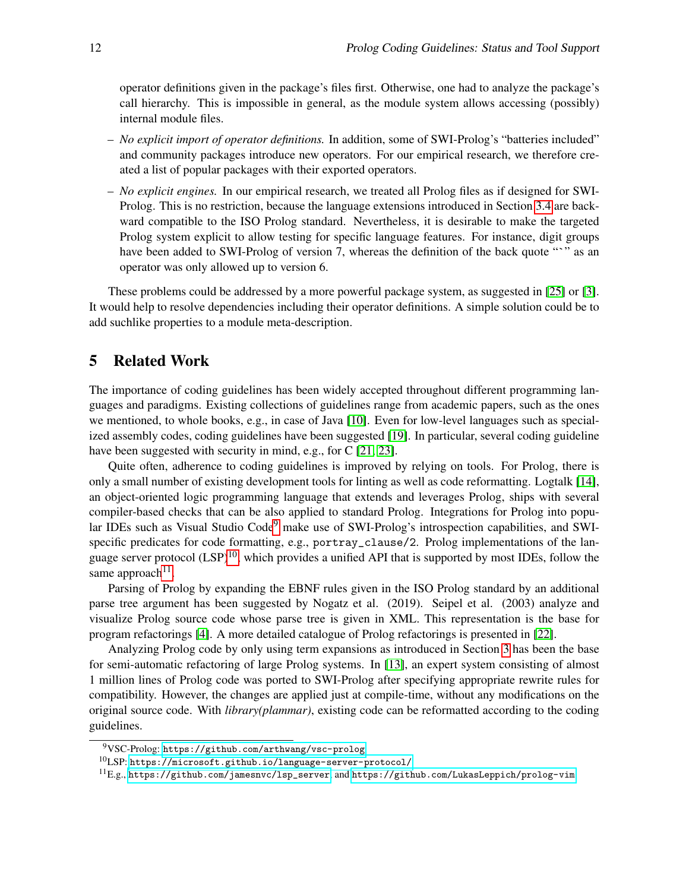operator definitions given in the package's files first. Otherwise, one had to analyze the package's call hierarchy. This is impossible in general, as the module system allows accessing (possibly) internal module files.

- *No explicit import of operator definitions.* In addition, some of SWI-Prolog's "batteries included" and community packages introduce new operators. For our empirical research, we therefore created a list of popular packages with their exported operators.
- *No explicit engines.* In our empirical research, we treated all Prolog files as if designed for SWI-Prolog. This is no restriction, because the language extensions introduced in Section [3.4](#page-7-1) are backward compatible to the ISO Prolog standard. Nevertheless, it is desirable to make the targeted Prolog system explicit to allow testing for specific language features. For instance, digit groups have been added to SWI-Prolog of version 7, whereas the definition of the back quote "" as an operator was only allowed up to version 6.

These problems could be addressed by a more powerful package system, as suggested in [\[25\]](#page-13-9) or [\[3\]](#page-12-4). It would help to resolve dependencies including their operator definitions. A simple solution could be to add suchlike properties to a module meta-description.

## <span id="page-11-0"></span>5 Related Work

The importance of coding guidelines has been widely accepted throughout different programming languages and paradigms. Existing collections of guidelines range from academic papers, such as the ones we mentioned, to whole books, e.g., in case of Java [\[10\]](#page-13-10). Even for low-level languages such as specialized assembly codes, coding guidelines have been suggested [\[19\]](#page-13-11). In particular, several coding guideline have been suggested with security in mind, e.g., for C [\[21,](#page-13-12) [23\]](#page-13-13).

Quite often, adherence to coding guidelines is improved by relying on tools. For Prolog, there is only a small number of existing development tools for linting as well as code reformatting. Logtalk [\[14\]](#page-13-14), an object-oriented logic programming language that extends and leverages Prolog, ships with several compiler-based checks that can be also applied to standard Prolog. Integrations for Prolog into popu-lar IDEs such as Visual Studio Code<sup>[9](#page-11-1)</sup> make use of SWI-Prolog's introspection capabilities, and SWIspecific predicates for code formatting, e.g., portray\_clause/2. Prolog implementations of the language server protocol  $(LSP)^{10}$  $(LSP)^{10}$  $(LSP)^{10}$ , which provides a unified API that is supported by most IDEs, follow the same approach<sup>[11](#page-11-3)</sup>.

Parsing of Prolog by expanding the EBNF rules given in the ISO Prolog standard by an additional parse tree argument has been suggested by Nogatz et al. (2019). Seipel et al. (2003) analyze and visualize Prolog source code whose parse tree is given in XML. This representation is the base for program refactorings [\[4\]](#page-12-6). A more detailed catalogue of Prolog refactorings is presented in [\[22\]](#page-13-15).

Analyzing Prolog code by only using term expansions as introduced in Section [3](#page-2-0) has been the base for semi-automatic refactoring of large Prolog systems. In [\[13\]](#page-13-16), an expert system consisting of almost 1 million lines of Prolog code was ported to SWI-Prolog after specifying appropriate rewrite rules for compatibility. However, the changes are applied just at compile-time, without any modifications on the original source code. With *library(plammar)*, existing code can be reformatted according to the coding guidelines.

<span id="page-11-1"></span><sup>9</sup>VSC-Prolog: <https://github.com/arthwang/vsc-prolog>

<span id="page-11-2"></span> $^{10}$ LSP: <https://microsoft.github.io/language-server-protocol/>

<span id="page-11-3"></span> ${}^{11}E.g.,$  [https://github.com/jamesnvc/lsp\\_server](https://github.com/jamesnvc/lsp_server), and <https://github.com/LukasLeppich/prolog-vim>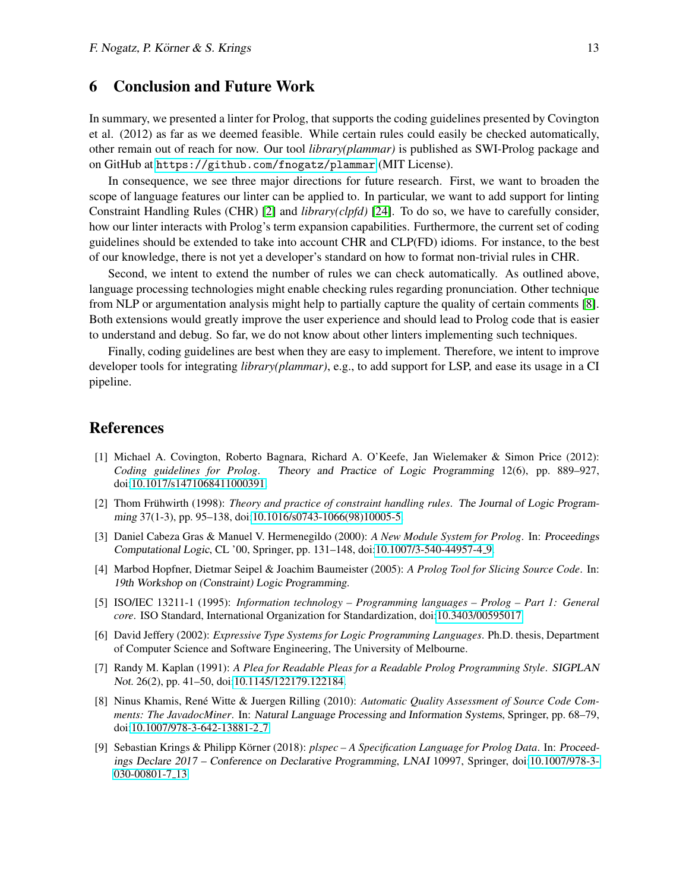### <span id="page-12-1"></span>6 Conclusion and Future Work

In summary, we presented a linter for Prolog, that supports the coding guidelines presented by Covington et al. (2012) as far as we deemed feasible. While certain rules could easily be checked automatically, other remain out of reach for now. Our tool *library(plammar)* is published as SWI-Prolog package and on GitHub at <https://github.com/fnogatz/plammar> (MIT License).

In consequence, we see three major directions for future research. First, we want to broaden the scope of language features our linter can be applied to. In particular, we want to add support for linting Constraint Handling Rules (CHR) [\[2\]](#page-12-7) and *library(clpfd)* [\[24\]](#page-13-17). To do so, we have to carefully consider, how our linter interacts with Prolog's term expansion capabilities. Furthermore, the current set of coding guidelines should be extended to take into account CHR and CLP(FD) idioms. For instance, to the best of our knowledge, there is not yet a developer's standard on how to format non-trivial rules in CHR.

Second, we intent to extend the number of rules we can check automatically. As outlined above, language processing technologies might enable checking rules regarding pronunciation. Other technique from NLP or argumentation analysis might help to partially capture the quality of certain comments [\[8\]](#page-12-8). Both extensions would greatly improve the user experience and should lead to Prolog code that is easier to understand and debug. So far, we do not know about other linters implementing such techniques.

Finally, coding guidelines are best when they are easy to implement. Therefore, we intent to improve developer tools for integrating *library(plammar)*, e.g., to add support for LSP, and ease its usage in a CI pipeline.

### References

- <span id="page-12-0"></span>[1] Michael A. Covington, Roberto Bagnara, Richard A. O'Keefe, Jan Wielemaker & Simon Price (2012): *Coding guidelines for Prolog*. Theory and Practice of Logic Programming 12(6), pp. 889–927, doi[:10.1017/s1471068411000391.](http://dx.doi.org/10.1017/s1471068411000391)
- <span id="page-12-7"></span>[2] Thom Frühwirth (1998): *Theory and practice of constraint handling rules*. The Journal of Logic Programming 37(1-3), pp. 95–138, doi[:10.1016/s0743-1066\(98\)10005-5.](http://dx.doi.org/10.1016/s0743-1066(98)10005-5)
- <span id="page-12-4"></span>[3] Daniel Cabeza Gras & Manuel V. Hermenegildo (2000): *A New Module System for Prolog*. In: Proceedings Computational Logic, CL '00, Springer, pp. 131–148, doi[:10.1007/3-540-44957-4](http://dx.doi.org/10.1007/3-540-44957-4_9) 9.
- <span id="page-12-6"></span>[4] Marbod Hopfner, Dietmar Seipel & Joachim Baumeister (2005): *A Prolog Tool for Slicing Source Code*. In: 19th Workshop on (Constraint) Logic Programming.
- <span id="page-12-5"></span>[5] ISO/IEC 13211-1 (1995): *Information technology – Programming languages – Prolog – Part 1: General core*. ISO Standard, International Organization for Standardization, doi[:10.3403/00595017.](http://dx.doi.org/10.3403/00595017)
- <span id="page-12-3"></span>[6] David Jeffery (2002): *Expressive Type Systems for Logic Programming Languages*. Ph.D. thesis, Department of Computer Science and Software Engineering, The University of Melbourne.
- [7] Randy M. Kaplan (1991): *A Plea for Readable Pleas for a Readable Prolog Programming Style*. SIGPLAN Not. 26(2), pp. 41–50, doi[:10.1145/122179.122184.](http://dx.doi.org/10.1145/122179.122184)
- <span id="page-12-8"></span>[8] Ninus Khamis, René Witte & Juergen Rilling (2010): *Automatic Quality Assessment of Source Code Comments: The JavadocMiner*. In: Natural Language Processing and Information Systems, Springer, pp. 68–79, doi[:10.1007/978-3-642-13881-2](http://dx.doi.org/10.1007/978-3-642-13881-2_7) 7.
- <span id="page-12-2"></span>[9] Sebastian Krings & Philipp Körner (2018): *plspec – A Specification Language for Prolog Data*. In: Proceedings Declare 2017 – Conference on Declarative Programming, LNAI 10997, Springer, doi[:10.1007/978-3-](http://dx.doi.org/10.1007/978-3-030-00801-7_13) [030-00801-7](http://dx.doi.org/10.1007/978-3-030-00801-7_13) 13.